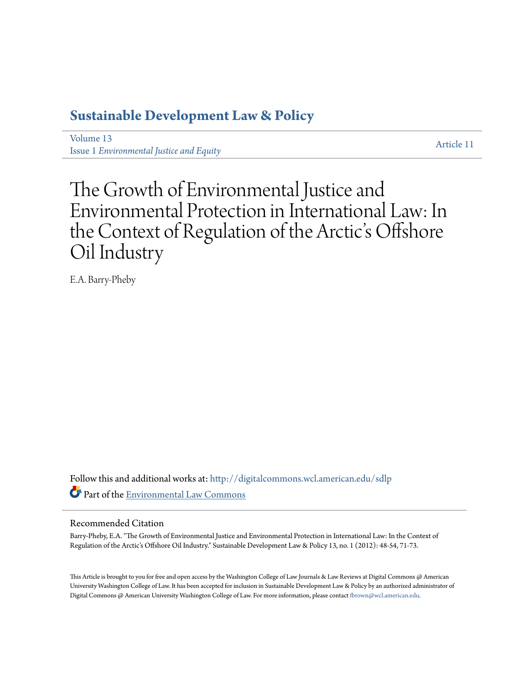### **[Sustainable Development Law & Policy](http://digitalcommons.wcl.american.edu/sdlp?utm_source=digitalcommons.wcl.american.edu%2Fsdlp%2Fvol13%2Fiss1%2F11&utm_medium=PDF&utm_campaign=PDFCoverPages)**

[Volume 13](http://digitalcommons.wcl.american.edu/sdlp/vol13?utm_source=digitalcommons.wcl.american.edu%2Fsdlp%2Fvol13%2Fiss1%2F11&utm_medium=PDF&utm_campaign=PDFCoverPages) Issue 1 *[Environmental Justice and Equity](http://digitalcommons.wcl.american.edu/sdlp/vol13/iss1?utm_source=digitalcommons.wcl.american.edu%2Fsdlp%2Fvol13%2Fiss1%2F11&utm_medium=PDF&utm_campaign=PDFCoverPages)*

[Article 11](http://digitalcommons.wcl.american.edu/sdlp/vol13/iss1/11?utm_source=digitalcommons.wcl.american.edu%2Fsdlp%2Fvol13%2Fiss1%2F11&utm_medium=PDF&utm_campaign=PDFCoverPages)

## The Growth of Environmental Justice and Environmental Protection in International Law: In the Context of Regulation of the Arctic's Offshore Oil Industry

E.A. Barry-Pheby

Follow this and additional works at: [http://digitalcommons.wcl.american.edu/sdlp](http://digitalcommons.wcl.american.edu/sdlp?utm_source=digitalcommons.wcl.american.edu%2Fsdlp%2Fvol13%2Fiss1%2F11&utm_medium=PDF&utm_campaign=PDFCoverPages) Part of the [Environmental Law Commons](http://network.bepress.com/hgg/discipline/599?utm_source=digitalcommons.wcl.american.edu%2Fsdlp%2Fvol13%2Fiss1%2F11&utm_medium=PDF&utm_campaign=PDFCoverPages)

#### Recommended Citation

Barry-Pheby, E.A. "The Growth of Environmental Justice and Environmental Protection in International Law: In the Context of Regulation of the Arctic's Offshore Oil Industry." Sustainable Development Law & Policy 13, no. 1 (2012): 48-54, 71-73.

This Article is brought to you for free and open access by the Washington College of Law Journals & Law Reviews at Digital Commons @ American University Washington College of Law. It has been accepted for inclusion in Sustainable Development Law & Policy by an authorized administrator of Digital Commons @ American University Washington College of Law. For more information, please contact [fbrown@wcl.american.edu](mailto:fbrown@wcl.american.edu).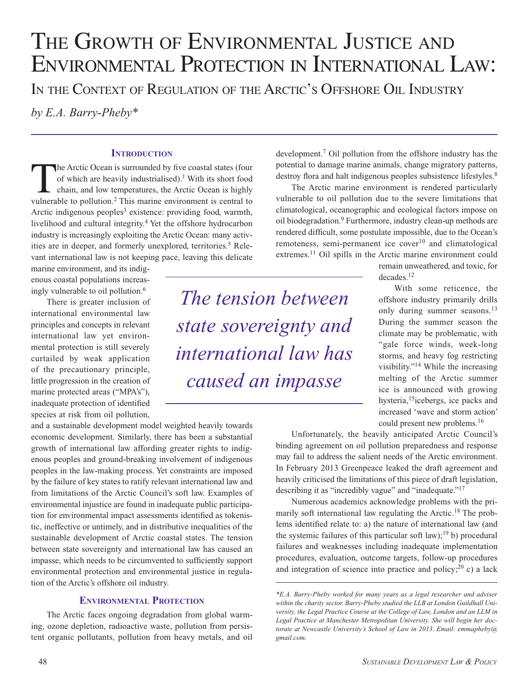# THE GROWTH OF ENVIRONMENTAL JUSTICE AND Environmental Protection in International Law:

In the Context of Regulation of the Arctic's Offshore Oil Industry

*by E.A. Barry-Pheby\**

#### **INTRODUCTION**

The Arctic Ocean is surrounded by five coastal states (four of which are heavily industrialised).<sup>1</sup> With its short food chain, and low temperatures, the Arctic Ocean is highly vulnerable to pollution.2 This marine environment is central to Arctic indigenous peoples<sup>3</sup> existence: providing food, warmth, livelihood and cultural integrity.4 Yet the offshore hydrocarbon industry is increasingly exploiting the Arctic Ocean: many activities are in deeper, and formerly unexplored, territories.<sup>5</sup> Relevant international law is not keeping pace, leaving this delicate

marine environment, and its indigenous coastal populations increasingly vulnerable to oil pollution.6

There is greater inclusion of international environmental law principles and concepts in relevant international law yet environmental protection is still severely curtailed by weak application of the precautionary principle, little progression in the creation of marine protected areas ("MPA's"), inadequate protection of identified species at risk from oil pollution,

and a sustainable development model weighted heavily towards economic development. Similarly, there has been a substantial growth of international law affording greater rights to indigenous peoples and ground-breaking involvement of indigenous peoples in the law-making process. Yet constraints are imposed by the failure of key states to ratify relevant international law and from limitations of the Arctic Council's soft law. Examples of environmental injustice are found in inadequate public participation for environmental impact assessments identified as tokenistic, ineffective or untimely, and in distributive inequalities of the sustainable development of Arctic coastal states. The tension between state sovereignty and international law has caused an impasse, which needs to be circumvented to sufficiently support environmental protection and environmental justice in regulation of the Arctic's offshore oil industry.

#### **Environmental Protection**

The Arctic faces ongoing degradation from global warming, ozone depletion, radioactive waste, pollution from persistent organic pollutants, pollution from heavy metals, and oil

*The tension between state sovereignty and international law has caused an impasse*

development.7 Oil pollution from the offshore industry has the potential to damage marine animals, change migratory patterns, destroy flora and halt indigenous peoples subsistence lifestyles.<sup>8</sup>

The Arctic marine environment is rendered particularly vulnerable to oil pollution due to the severe limitations that climatological, oceanographic and ecological factors impose on oil biodegradation.9 Furthermore, industry clean-up methods are rendered difficult, some postulate impossible, due to the Ocean's remoteness, semi-permanent ice cover<sup>10</sup> and climatological extremes.<sup>11</sup> Oil spills in the Arctic marine environment could

> remain unweathered, and toxic, for decades.12

> With some reticence, the offshore industry primarily drills only during summer seasons.<sup>13</sup> During the summer season the climate may be problematic, with "gale force winds, week-long storms, and heavy fog restricting visibility."14 While the increasing melting of the Arctic summer ice is announced with growing hysteria,15icebergs, ice packs and increased 'wave and storm action' could present new problems.16

Unfortunately, the heavily anticipated Arctic Council's binding agreement on oil pollution preparedness and response may fail to address the salient needs of the Arctic environment. In February 2013 Greenpeace leaked the draft agreement and heavily criticised the limitations of this piece of draft legislation, describing it as "incredibly vague" and "inadequate."<sup>17</sup>

Numerous academics acknowledge problems with the primarily soft international law regulating the Arctic.<sup>18</sup> The problems identified relate to: a) the nature of international law (and the systemic failures of this particular soft law);<sup>19</sup> b) procedural failures and weaknesses including inadequate implementation procedures, evaluation, outcome targets, follow-up procedures and integration of science into practice and policy; $^{20}$  c) a lack

*<sup>\*</sup>E.A. Barry-Pheby worked for many years as a legal researcher and adviser within the charity sector. Barry-Pheby studied the LLB at London Guildhall University, the Legal Practice Course at the College of Law, London and an LLM in Legal Practice at Manchester Metropolitan University. She will begin her doctorate at Newcastle University's School of Law in 2013. Email: emmapheby@ gmail.com.*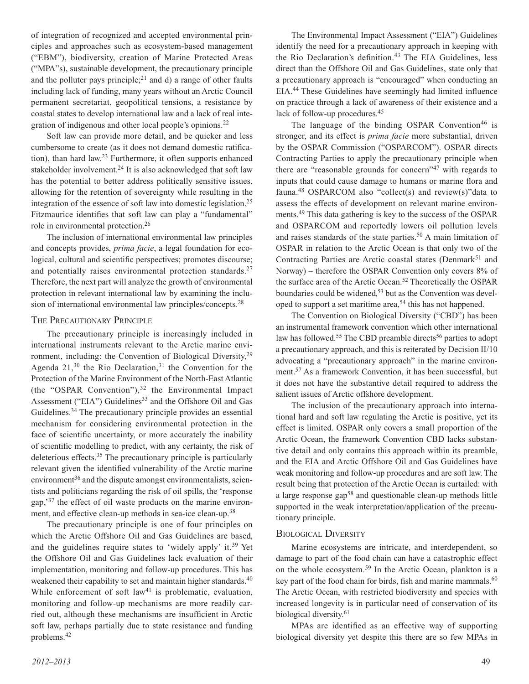of integration of recognized and accepted environmental principles and approaches such as ecosystem-based management ("EBM"), biodiversity, creation of Marine Protected Areas ("MPA"s), sustainable development, the precautionary principle and the polluter pays principle;<sup>21</sup> and d) a range of other faults including lack of funding, many years without an Arctic Council permanent secretariat, geopolitical tensions, a resistance by coastal states to develop international law and a lack of real integration of indigenous and other local people's opinions.22

Soft law can provide more detail, and be quicker and less cumbersome to create (as it does not demand domestic ratification), than hard law.23 Furthermore, it often supports enhanced stakeholder involvement.<sup>24</sup> It is also acknowledged that soft law has the potential to better address politically sensitive issues, allowing for the retention of sovereignty while resulting in the integration of the essence of soft law into domestic legislation.25 Fitzmaurice identifies that soft law can play a "fundamental" role in environmental protection.26

The inclusion of international environmental law principles and concepts provides, *prima facie*, a legal foundation for ecological, cultural and scientific perspectives; promotes discourse; and potentially raises environmental protection standards.<sup>27</sup> Therefore, the next part will analyze the growth of environmental protection in relevant international law by examining the inclusion of international environmental law principles/concepts.28

#### The Precautionary Principle

The precautionary principle is increasingly included in international instruments relevant to the Arctic marine environment, including: the Convention of Biological Diversity,<sup>29</sup> Agenda  $21$ ,<sup>30</sup> the Rio Declaration,<sup>31</sup> the Convention for the Protection of the Marine Environment of the North-East Atlantic (the "OSPAR Convention"), $32$  the Environmental Impact Assessment ("EIA") Guidelines<sup>33</sup> and the Offshore Oil and Gas Guidelines.<sup>34</sup> The precautionary principle provides an essential mechanism for considering environmental protection in the face of scientific uncertainty, or more accurately the inability of scientific modelling to predict, with any certainty, the risk of deleterious effects.35 The precautionary principle is particularly relevant given the identified vulnerability of the Arctic marine environment<sup>36</sup> and the dispute amongst environmentalists, scientists and politicians regarding the risk of oil spills, the 'response gap,'37 the effect of oil waste products on the marine environment, and effective clean-up methods in sea-ice clean-up.38

The precautionary principle is one of four principles on which the Arctic Offshore Oil and Gas Guidelines are based, and the guidelines require states to 'widely apply' it.<sup>39</sup> Yet the Offshore Oil and Gas Guidelines lack evaluation of their implementation, monitoring and follow-up procedures. This has weakened their capability to set and maintain higher standards.<sup>40</sup> While enforcement of soft law<sup>41</sup> is problematic, evaluation, monitoring and follow-up mechanisms are more readily carried out, although these mechanisms are insufficient in Arctic soft law, perhaps partially due to state resistance and funding problems.42

The language of the binding OSPAR Convention<sup>46</sup> is stronger, and its effect is *prima facie* more substantial, driven by the OSPAR Commission ("OSPARCOM"). OSPAR directs Contracting Parties to apply the precautionary principle when there are "reasonable grounds for concern"<sup>47</sup> with regards to inputs that could cause damage to humans or marine flora and fauna.<sup>48</sup> OSPARCOM also "collect(s) and review(s)" data to assess the effects of development on relevant marine environments.49 This data gathering is key to the success of the OSPAR and OSPARCOM and reportedly lowers oil pollution levels and raises standards of the state parties.<sup>50</sup> A main limitation of OSPAR in relation to the Arctic Ocean is that only two of the Contracting Parties are Arctic coastal states (Denmark $51$  and Norway) – therefore the OSPAR Convention only covers 8% of the surface area of the Arctic Ocean.<sup>52</sup> Theoretically the OSPAR boundaries could be widened,<sup>53</sup> but as the Convention was developed to support a set maritime area,<sup>54</sup> this has not happened.

The Convention on Biological Diversity ("CBD") has been an instrumental framework convention which other international law has followed.<sup>55</sup> The CBD preamble directs<sup>56</sup> parties to adopt a precautionary approach, and this is reiterated by Decision II/10 advocating a "precautionary approach" in the marine environment.57 As a framework Convention, it has been successful, but it does not have the substantive detail required to address the salient issues of Arctic offshore development.

The inclusion of the precautionary approach into international hard and soft law regulating the Arctic is positive, yet its effect is limited. OSPAR only covers a small proportion of the Arctic Ocean, the framework Convention CBD lacks substantive detail and only contains this approach within its preamble, and the EIA and Arctic Offshore Oil and Gas Guidelines have weak monitoring and follow-up procedures and are soft law. The result being that protection of the Arctic Ocean is curtailed: with a large response gap58 and questionable clean-up methods little supported in the weak interpretation/application of the precautionary principle.

#### Biological Diversity

Marine ecosystems are intricate, and interdependent, so damage to part of the food chain can have a catastrophic effect on the whole ecosystem.59 In the Arctic Ocean, plankton is a key part of the food chain for birds, fish and marine mammals.<sup>60</sup> The Arctic Ocean, with restricted biodiversity and species with increased longevity is in particular need of conservation of its biological diversity.<sup>61</sup>

MPAs are identified as an effective way of supporting biological diversity yet despite this there are so few MPAs in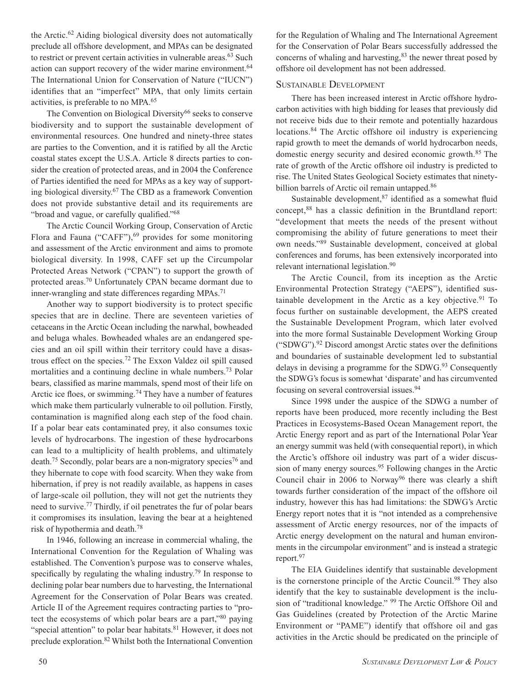the Arctic.62 Aiding biological diversity does not automatically preclude all offshore development, and MPAs can be designated to restrict or prevent certain activities in vulnerable areas.<sup>63</sup> Such action can support recovery of the wider marine environment.<sup>64</sup> The International Union for Conservation of Nature ("IUCN") identifies that an "imperfect" MPA, that only limits certain activities, is preferable to no MPA.65

The Convention on Biological Diversity<sup>66</sup> seeks to conserve biodiversity and to support the sustainable development of environmental resources. One hundred and ninety-three states are parties to the Convention, and it is ratified by all the Arctic coastal states except the U.S.A. Article 8 directs parties to consider the creation of protected areas, and in 2004 the Conference of Parties identified the need for MPAs as a key way of supporting biological diversity.67 The CBD as a framework Convention does not provide substantive detail and its requirements are "broad and vague, or carefully qualified."68

The Arctic Council Working Group, Conservation of Arctic Flora and Fauna ("CAFF"), $^{69}$  provides for some monitoring and assessment of the Arctic environment and aims to promote biological diversity. In 1998, CAFF set up the Circumpolar Protected Areas Network ("CPAN") to support the growth of protected areas.70 Unfortunately CPAN became dormant due to inner-wrangling and state differences regarding MPAs.<sup>71</sup>

Another way to support biodiversity is to protect specific species that are in decline. There are seventeen varieties of cetaceans in the Arctic Ocean including the narwhal, bowheaded and beluga whales. Bowheaded whales are an endangered species and an oil spill within their territory could have a disastrous effect on the species.72 The Exxon Valdez oil spill caused mortalities and a continuing decline in whale numbers.<sup>73</sup> Polar bears, classified as marine mammals, spend most of their life on Arctic ice floes, or swimming.<sup>74</sup> They have a number of features which make them particularly vulnerable to oil pollution. Firstly, contamination is magnified along each step of the food chain. If a polar bear eats contaminated prey, it also consumes toxic levels of hydrocarbons. The ingestion of these hydrocarbons can lead to a multiplicity of health problems, and ultimately death.<sup>75</sup> Secondly, polar bears are a non-migratory species<sup>76</sup> and they hibernate to cope with food scarcity. When they wake from hibernation, if prey is not readily available, as happens in cases of large-scale oil pollution, they will not get the nutrients they need to survive.77 Thirdly, if oil penetrates the fur of polar bears it compromises its insulation, leaving the bear at a heightened risk of hypothermia and death.78

In 1946, following an increase in commercial whaling, the International Convention for the Regulation of Whaling was established. The Convention's purpose was to conserve whales, specifically by regulating the whaling industry.<sup>79</sup> In response to declining polar bear numbers due to harvesting, the International Agreement for the Conservation of Polar Bears was created. Article II of the Agreement requires contracting parties to "protect the ecosystems of which polar bears are a part,"80 paying "special attention" to polar bear habitats.<sup>81</sup> However, it does not preclude exploration.82 Whilst both the International Convention

for the Regulation of Whaling and The International Agreement for the Conservation of Polar Bears successfully addressed the concerns of whaling and harvesting,<sup>83</sup> the newer threat posed by offshore oil development has not been addressed.

#### Sustainable Development

There has been increased interest in Arctic offshore hydrocarbon activities with high bidding for leases that previously did not receive bids due to their remote and potentially hazardous locations.<sup>84</sup> The Arctic offshore oil industry is experiencing rapid growth to meet the demands of world hydrocarbon needs, domestic energy security and desired economic growth.85 The rate of growth of the Arctic offshore oil industry is predicted to rise. The United States Geological Society estimates that ninetybillion barrels of Arctic oil remain untapped.<sup>86</sup>

Sustainable development, $87$  identified as a somewhat fluid concept,88 has a classic definition in the Bruntdland report: "development that meets the needs of the present without compromising the ability of future generations to meet their own needs."89 Sustainable development, conceived at global conferences and forums, has been extensively incorporated into relevant international legislation.<sup>90</sup>

The Arctic Council, from its inception as the Arctic Environmental Protection Strategy ("AEPS"), identified sustainable development in the Arctic as a key objective. $91$  To focus further on sustainable development, the AEPS created the Sustainable Development Program, which later evolved into the more formal Sustainable Development Working Group ("SDWG").92 Discord amongst Arctic states over the definitions and boundaries of sustainable development led to substantial delays in devising a programme for the SDWG.<sup>93</sup> Consequently the SDWG's focus is somewhat 'disparate' and has circumvented focusing on several controversial issues.94

Since 1998 under the auspice of the SDWG a number of reports have been produced, more recently including the Best Practices in Ecosystems-Based Ocean Management report, the Arctic Energy report and as part of the International Polar Year an energy summit was held (with consequential report), in which the Arctic's offshore oil industry was part of a wider discussion of many energy sources.<sup>95</sup> Following changes in the Arctic Council chair in 2006 to Norway<sup>96</sup> there was clearly a shift towards further consideration of the impact of the offshore oil industry, however this has had limitations: the SDWG's Arctic Energy report notes that it is "not intended as a comprehensive assessment of Arctic energy resources, nor of the impacts of Arctic energy development on the natural and human environments in the circumpolar environment" and is instead a strategic report.<sup>97</sup>

The EIA Guidelines identify that sustainable development is the cornerstone principle of the Arctic Council.<sup>98</sup> They also identify that the key to sustainable development is the inclusion of "traditional knowledge." 99 The Arctic Offshore Oil and Gas Guidelines (created by Protection of the Arctic Marine Environment or "PAME") identify that offshore oil and gas activities in the Arctic should be predicated on the principle of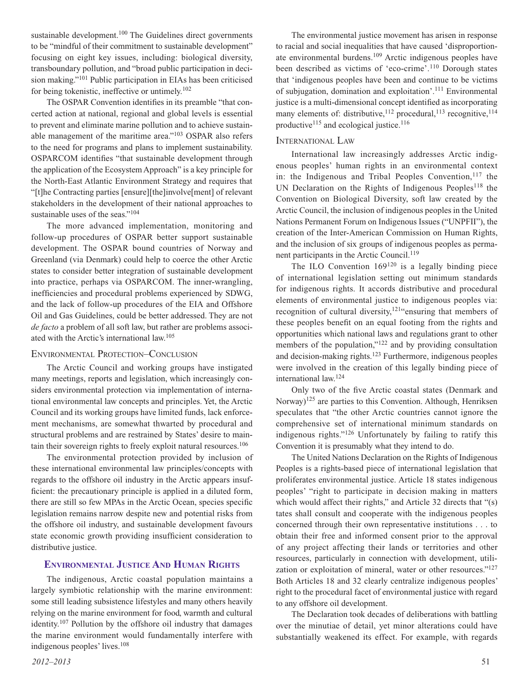sustainable development.<sup>100</sup> The Guidelines direct governments to be "mindful of their commitment to sustainable development" focusing on eight key issues, including: biological diversity, transboundary pollution, and "broad public participation in decision making."101 Public participation in EIAs has been criticised for being tokenistic, ineffective or untimely.102

The OSPAR Convention identifies in its preamble "that concerted action at national, regional and global levels is essential to prevent and eliminate marine pollution and to achieve sustainable management of the maritime area."103 OSPAR also refers to the need for programs and plans to implement sustainability. OSPARCOM identifies "that sustainable development through the application of the Ecosystem Approach" is a key principle for the North-East Atlantic Environment Strategy and requires that "[t]he Contracting parties [ensure][the]involve[ment] of relevant stakeholders in the development of their national approaches to sustainable uses of the seas."<sup>104</sup>

The more advanced implementation, monitoring and follow-up procedures of OSPAR better support sustainable development. The OSPAR bound countries of Norway and Greenland (via Denmark) could help to coerce the other Arctic states to consider better integration of sustainable development into practice, perhaps via OSPARCOM. The inner-wrangling, inefficiencies and procedural problems experienced by SDWG, and the lack of follow-up procedures of the EIA and Offshore Oil and Gas Guidelines, could be better addressed. They are not *de facto* a problem of all soft law, but rather are problems associated with the Arctic's international law.105

#### Environmental Protection–Conclusion

The Arctic Council and working groups have instigated many meetings, reports and legislation, which increasingly considers environmental protection via implementation of international environmental law concepts and principles. Yet, the Arctic Council and its working groups have limited funds, lack enforcement mechanisms, are somewhat thwarted by procedural and structural problems and are restrained by States' desire to maintain their sovereign rights to freely exploit natural resources.<sup>106</sup>

The environmental protection provided by inclusion of these international environmental law principles/concepts with regards to the offshore oil industry in the Arctic appears insufficient: the precautionary principle is applied in a diluted form, there are still so few MPAs in the Arctic Ocean, species specific legislation remains narrow despite new and potential risks from the offshore oil industry, and sustainable development favours state economic growth providing insufficient consideration to distributive justice.

#### **ENVIRONMENTAL JUSTICE AND HUMAN RIGHTS**

The indigenous, Arctic coastal population maintains a largely symbiotic relationship with the marine environment: some still leading subsistence lifestyles and many others heavily relying on the marine environment for food, warmth and cultural identity.107 Pollution by the offshore oil industry that damages the marine environment would fundamentally interfere with indigenous peoples' lives.108

The environmental justice movement has arisen in response to racial and social inequalities that have caused 'disproportionate environmental burdens.109 Arctic indigenous peoples have been described as victims of 'eco-crime'.110 Dorough states that 'indigenous peoples have been and continue to be victims of subjugation, domination and exploitation'.111 Environmental justice is a multi-dimensional concept identified as incorporating many elements of: distributive,  $^{112}$  procedural,  $^{113}$  recognitive,  $^{114}$ productive<sup>115</sup> and ecological justice.<sup>116</sup>

#### International Law

International law increasingly addresses Arctic indigenous peoples' human rights in an environmental context in: the Indigenous and Tribal Peoples Convention, $117$  the UN Declaration on the Rights of Indigenous Peoples<sup>118</sup> the Convention on Biological Diversity, soft law created by the Arctic Council, the inclusion of indigenous peoples in the United Nations Permanent Forum on Indigenous Issues ("UNPFII"), the creation of the Inter-American Commission on Human Rights, and the inclusion of six groups of indigenous peoples as permanent participants in the Arctic Council.<sup>119</sup>

The ILO Convention  $169^{120}$  is a legally binding piece of international legislation setting out minimum standards for indigenous rights. It accords distributive and procedural elements of environmental justice to indigenous peoples via: recognition of cultural diversity,<sup>121"</sup>ensuring that members of these peoples benefit on an equal footing from the rights and opportunities which national laws and regulations grant to other members of the population,"<sup>122</sup> and by providing consultation and decision-making rights.123 Furthermore, indigenous peoples were involved in the creation of this legally binding piece of international law.124

Only two of the five Arctic coastal states (Denmark and Norway)125 are parties to this Convention. Although, Henriksen speculates that "the other Arctic countries cannot ignore the comprehensive set of international minimum standards on indigenous rights."126 Unfortunately by failing to ratify this Convention it is presumably what they intend to do.

The United Nations Declaration on the Rights of Indigenous Peoples is a rights-based piece of international legislation that proliferates environmental justice. Article 18 states indigenous peoples' "right to participate in decision making in matters which would affect their rights," and Article 32 directs that "(s) tates shall consult and cooperate with the indigenous peoples concerned through their own representative institutions . . . to obtain their free and informed consent prior to the approval of any project affecting their lands or territories and other resources, particularly in connection with development, utilization or exploitation of mineral, water or other resources."127 Both Articles 18 and 32 clearly centralize indigenous peoples' right to the procedural facet of environmental justice with regard to any offshore oil development.

The Declaration took decades of deliberations with battling over the minutiae of detail, yet minor alterations could have substantially weakened its effect. For example, with regards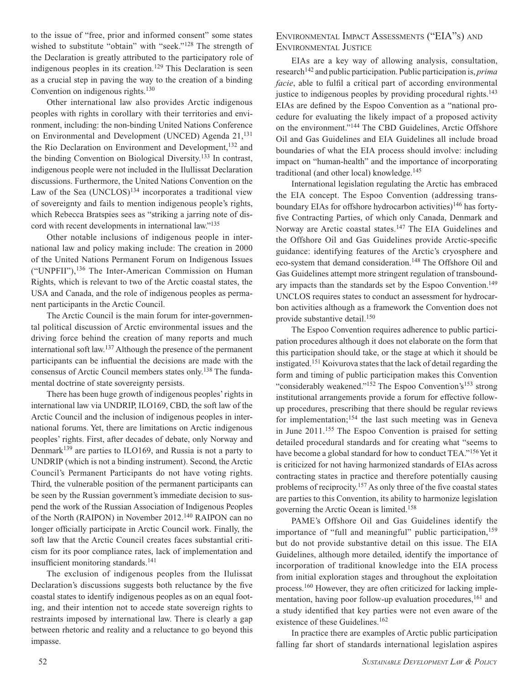to the issue of "free, prior and informed consent" some states wished to substitute "obtain" with "seek."128 The strength of the Declaration is greatly attributed to the participatory role of indigenous peoples in its creation.<sup>129</sup> This Declaration is seen as a crucial step in paving the way to the creation of a binding Convention on indigenous rights.<sup>130</sup>

Other international law also provides Arctic indigenous peoples with rights in corollary with their territories and environment, including: the non-binding United Nations Conference on Environmental and Development (UNCED) Agenda 21,<sup>131</sup> the Rio Declaration on Environment and Development,<sup>132</sup> and the binding Convention on Biological Diversity.133 In contrast, indigenous people were not included in the Ilullissat Declaration discussions. Furthermore, the United Nations Convention on the Law of the Sea  $(UNCLOS)^{134}$  incorporates a traditional view of sovereignty and fails to mention indigenous people's rights, which Rebecca Bratspies sees as "striking a jarring note of discord with recent developments in international law."135

Other notable inclusions of indigenous people in international law and policy making include: The creation in 2000 of the United Nations Permanent Forum on Indigenous Issues ("UNPFII"),136 The Inter-American Commission on Human Rights, which is relevant to two of the Arctic coastal states, the USA and Canada, and the role of indigenous peoples as permanent participants in the Arctic Council.

The Arctic Council is the main forum for inter-governmental political discussion of Arctic environmental issues and the driving force behind the creation of many reports and much international soft law.137 Although the presence of the permanent participants can be influential the decisions are made with the consensus of Arctic Council members states only.138 The fundamental doctrine of state sovereignty persists.

There has been huge growth of indigenous peoples' rights in international law via UNDRIP, ILO169, CBD, the soft law of the Arctic Council and the inclusion of indigenous peoples in international forums. Yet, there are limitations on Arctic indigenous peoples' rights. First, after decades of debate, only Norway and Denmark<sup>139</sup> are parties to ILO169, and Russia is not a party to UNDRIP (which is not a binding instrument). Second, the Arctic Council's Permanent Participants do not have voting rights. Third, the vulnerable position of the permanent participants can be seen by the Russian government's immediate decision to suspend the work of the Russian Association of Indigenous Peoples of the North (RAIPON) in November 2012.140 RAIPON can no longer officially participate in Arctic Council work. Finally, the soft law that the Arctic Council creates faces substantial criticism for its poor compliance rates, lack of implementation and insufficient monitoring standards.<sup>141</sup>

The exclusion of indigenous peoples from the Ilulissat Declaration's discussions suggests both reluctance by the five coastal states to identify indigenous peoples as on an equal footing, and their intention not to accede state sovereign rights to restraints imposed by international law. There is clearly a gap between rhetoric and reality and a reluctance to go beyond this impasse.

#### Environmental Impact Assessments ("EIA"s) and Environmental Justice

EIAs are a key way of allowing analysis, consultation, research142 and public participation. Public participation is, *prima facie*, able to fulfil a critical part of according environmental justice to indigenous peoples by providing procedural rights.<sup>143</sup> EIAs are defined by the Espoo Convention as a "national procedure for evaluating the likely impact of a proposed activity on the environment."144 The CBD Guidelines, Arctic Offshore Oil and Gas Guidelines and EIA Guidelines all include broad boundaries of what the EIA process should involve: including impact on "human-health" and the importance of incorporating traditional (and other local) knowledge.145

International legislation regulating the Arctic has embraced the EIA concept. The Espoo Convention (addressing transboundary EIAs for offshore hydrocarbon activities)<sup>146</sup> has fortyfive Contracting Parties, of which only Canada, Denmark and Norway are Arctic coastal states.147 The EIA Guidelines and the Offshore Oil and Gas Guidelines provide Arctic-specific guidance: identifying features of the Arctic's cryosphere and eco-system that demand consideration.<sup>148</sup> The Offshore Oil and Gas Guidelines attempt more stringent regulation of transboundary impacts than the standards set by the Espoo Convention.<sup>149</sup> UNCLOS requires states to conduct an assessment for hydrocarbon activities although as a framework the Convention does not provide substantive detail.<sup>150</sup>

The Espoo Convention requires adherence to public participation procedures although it does not elaborate on the form that this participation should take, or the stage at which it should be instigated.151 Koivurova states that the lack of detail regarding the form and timing of public participation makes this Convention "considerably weakened."<sup>152</sup> The Espoo Convention's<sup>153</sup> strong institutional arrangements provide a forum for effective followup procedures, prescribing that there should be regular reviews for implementation;<sup>154</sup> the last such meeting was in Geneva in June 2011.155 The Espoo Convention is praised for setting detailed procedural standards and for creating what "seems to have become a global standard for how to conduct TEA."156 Yet it is criticized for not having harmonized standards of EIAs across contracting states in practice and therefore potentially causing problems of reciprocity.157 As only three of the five coastal states are parties to this Convention, its ability to harmonize legislation governing the Arctic Ocean is limited.158

PAME's Offshore Oil and Gas Guidelines identify the importance of "full and meaningful" public participation,<sup>159</sup> but do not provide substantive detail on this issue. The EIA Guidelines, although more detailed, identify the importance of incorporation of traditional knowledge into the EIA process from initial exploration stages and throughout the exploitation process.160 However, they are often criticized for lacking implementation, having poor follow-up evaluation procedures,<sup>161</sup> and a study identified that key parties were not even aware of the existence of these Guidelines.<sup>162</sup>

In practice there are examples of Arctic public participation falling far short of standards international legislation aspires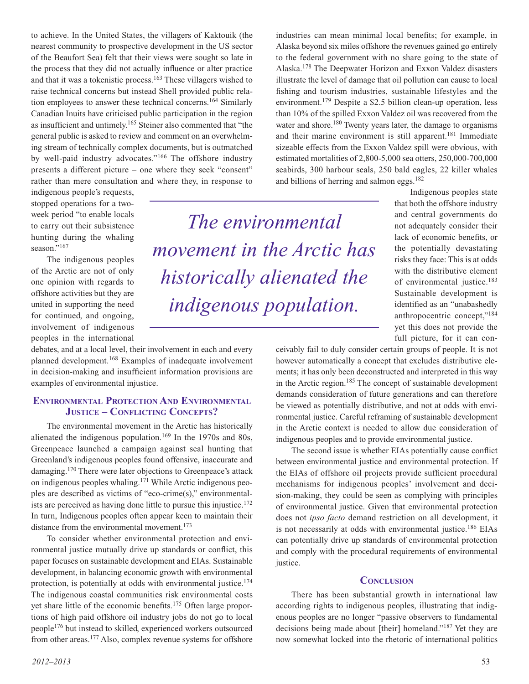to achieve. In the United States, the villagers of Kaktouik (the nearest community to prospective development in the US sector of the Beaufort Sea) felt that their views were sought so late in the process that they did not actually influence or alter practice and that it was a tokenistic process.163 These villagers wished to raise technical concerns but instead Shell provided public relation employees to answer these technical concerns.164 Similarly Canadian Inuits have criticised public participation in the region as insufficient and untimely.165 Steiner also commented that "the general public is asked to review and comment on an overwhelming stream of technically complex documents, but is outmatched by well-paid industry advocates."166 The offshore industry presents a different picture – one where they seek "consent" rather than mere consultation and where they, in response to

indigenous people's requests, stopped operations for a twoweek period "to enable locals to carry out their subsistence hunting during the whaling season."<sup>167</sup>

The indigenous peoples of the Arctic are not of only one opinion with regards to offshore activities but they are united in supporting the need for continued, and ongoing, involvement of indigenous peoples in the international

debates, and at a local level, their involvement in each and every planned development.168 Examples of inadequate involvement in decision-making and insufficient information provisions are examples of environmental injustice.

#### **Environmental Protection And Environmental Justice – Conflicting Concepts?**

The environmental movement in the Arctic has historically alienated the indigenous population.169 In the 1970s and 80s, Greenpeace launched a campaign against seal hunting that Greenland's indigenous peoples found offensive, inaccurate and damaging.170 There were later objections to Greenpeace's attack on indigenous peoples whaling.171 While Arctic indigenous peoples are described as victims of "eco-crime(s)," environmentalists are perceived as having done little to pursue this injustice.<sup>172</sup> In turn, Indigenous peoples often appear keen to maintain their distance from the environmental movement.<sup>173</sup>

To consider whether environmental protection and environmental justice mutually drive up standards or conflict, this paper focuses on sustainable development and EIAs. Sustainable development, in balancing economic growth with environmental protection, is potentially at odds with environmental justice.174 The indigenous coastal communities risk environmental costs yet share little of the economic benefits.175 Often large proportions of high paid offshore oil industry jobs do not go to local people176 but instead to skilled, experienced workers outsourced from other areas.177 Also, complex revenue systems for offshore

*2012–2013* 53

*The environmental movement in the Arctic has historically alienated the indigenous population.*

industries can mean minimal local benefits; for example, in Alaska beyond six miles offshore the revenues gained go entirely to the federal government with no share going to the state of Alaska.178 The Deepwater Horizon and Exxon Valdez disasters illustrate the level of damage that oil pollution can cause to local fishing and tourism industries, sustainable lifestyles and the environment.179 Despite a \$2.5 billion clean-up operation, less than 10% of the spilled Exxon Valdez oil was recovered from the water and shore.<sup>180</sup> Twenty years later, the damage to organisms and their marine environment is still apparent.<sup>181</sup> Immediate sizeable effects from the Exxon Valdez spill were obvious, with estimated mortalities of 2,800-5,000 sea otters, 250,000-700,000 seabirds, 300 harbour seals, 250 bald eagles, 22 killer whales and billions of herring and salmon eggs.182

Indigenous peoples state that both the offshore industry and central governments do not adequately consider their lack of economic benefits, or the potentially devastating risks they face: This is at odds with the distributive element of environmental justice.<sup>183</sup> Sustainable development is identified as an "unabashedly anthropocentric concept,"184 yet this does not provide the full picture, for it can con-

ceivably fail to duly consider certain groups of people. It is not however automatically a concept that excludes distributive elements; it has only been deconstructed and interpreted in this way in the Arctic region.185 The concept of sustainable development demands consideration of future generations and can therefore be viewed as potentially distributive, and not at odds with environmental justice. Careful reframing of sustainable development in the Arctic context is needed to allow due consideration of indigenous peoples and to provide environmental justice.

The second issue is whether EIAs potentially cause conflict between environmental justice and environmental protection. If the EIAs of offshore oil projects provide sufficient procedural mechanisms for indigenous peoples' involvement and decision-making, they could be seen as complying with principles of environmental justice. Given that environmental protection does not *ipso facto* demand restriction on all development, it is not necessarily at odds with environmental justice.<sup>186</sup> EIAs can potentially drive up standards of environmental protection and comply with the procedural requirements of environmental justice.

#### **Conclusion**

There has been substantial growth in international law according rights to indigenous peoples, illustrating that indigenous peoples are no longer "passive observers to fundamental decisions being made about [their] homeland."187 Yet they are now somewhat locked into the rhetoric of international politics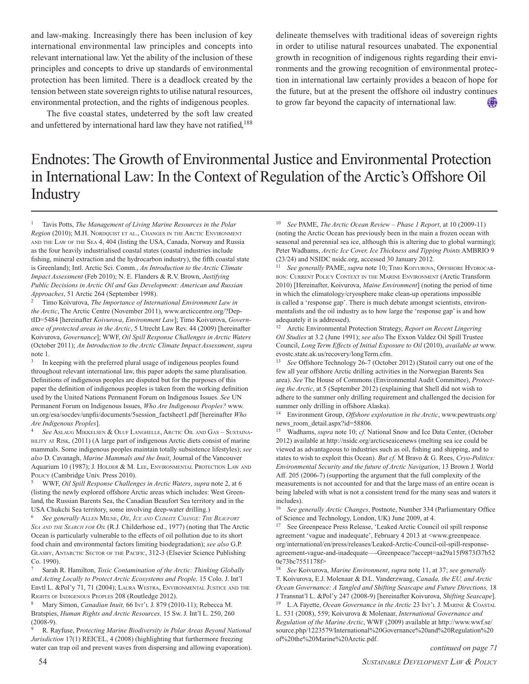and law-making. Increasingly there has been inclusion of key international environmental law principles and concepts into relevant international law. Yet the ability of the inclusion of these principles and concepts to drive up standards of environmental protection has been limited. There is a deadlock created by the tension between state sovereign rights to utilise natural resources, environmental protection, and the rights of indigenous peoples.

The five coastal states, undeterred by the soft law created and unfettered by international hard law they have not ratified,<sup>188</sup> delineate themselves with traditional ideas of sovereign rights in order to utilise natural resources unabated. The exponential growth in recognition of indigenous rights regarding their environments and the growing recognition of environmental protection in international law certainly provides a beacon of hope for the future, but at the present the offshore oil industry continues to grow far beyond the capacity of international law.

## Endnotes: The Growth of Environmental Justice and Environmental Protection in International Law: In the Context of Regulation of the Arctic's Offshore Oil **Industry**

<sup>1</sup> Tavis Potts, *The Management of Living Marine Resources in the Polar Region* (2010); M.H. NORDQUIST ET AL., CHANGES IN THE ARCTIC ENVIRONMENT and the Law of the Sea 4, 404 (listing the USA, Canada, Norway and Russia as the four heavily industrialised coastal states (coastal industries include fishing, mineral extraction and the hydrocarbon industry), the fifth coastal state is Greenland); Intl. Arctic Sci. Comm., *An Introduction to the Arctic Climate Impact Assessment* (Feb 2010); N. E. Flanders & R.V. Brown, *Justifying Public Decisions in Arctic Oil and Gas Development: American and Russian Approaches*, 51 Arctic 264 (September 1998).

<sup>2</sup> Timo Koivurova, *The Importance of International Environment Law in the Arctic*, The Arctic Centre (November 2011), www.arcticcentre.org/?DeptID=5484 [hereinafter *Koivurova*, *Environment Law*]; Timo Koivurova, *Governance of protected areas in the Arctic*, 5 Utrecht Law Rev. 44 (2009) [hereinafter Koivurova, *Governance*]; WWF, *Oil Spill Response Challenges in Arctic Waters* (October 2011); *An Introduction to the Arctic Climate Impact Assessment*, *supra* note 1.

<sup>3</sup> In keeping with the preferred plural usage of indigenous peoples found throughout relevant international law, this paper adopts the same pluralisation. Definitions of indigenous peoples are disputed but for the purposes of this paper the definition of indigenous peoples is taken from the working definition used by the United Nations Permanent Forum on Indigenous Issues. *See* UN Permanent Forum on Indigenous Issues, *Who Are Indigenous Peoples?* www. un.org/esa/socdev/unpfii/documents/5session\_factsheet1.pdf [hereinafter *Who Are Indigenous Peoples*].

<sup>4</sup> See Aslaug Mikkelsen & Oluf Langhelle, Arctic Oil and Gas – Sustainability at Risk*,* (2011) (A large part of indigenous Arctic diets consist of marine mammals. Some indigenous peoples maintain totally subsistence lifestyles); *see also* D. Cavanagh, *Marine Mammals and the Inuit*, Journal of the Vancouver Aquarium 10 (1987); J. HOLDER & M. LEE, ENVIRONMENTAL PROTECTION LAW AND POLICY (Cambridge Univ. Press 2010).

<sup>5</sup> WWF, *Oil Spill Response Challenges in Arctic Waters*, *supra* note 2, at 6 (listing the newly explored offshore Arctic areas which includes: West Greenland, the Russian Barents Sea, the Canadian Beaufort Sea territory and in the USA Chukchi Sea territory, some involving deep-water drilling.)

<sup>6</sup> *See generally* Allen Milne, *Oil, Ice and Climate Change: The Beaufort Sea and the Search for Oil* (R.J. Childerhose ed., 1977) (noting that The Arctic Ocean is particularly vulnerable to the effects of oil pollution due to its short food chain and environmental factors limiting biodegradation); *see also* G.P. GLASBY, ANTARCTIC SECTOR OF THE PACIFIC, 312-3 (Elsevier Science Publishing Co. 1990).

<sup>7</sup> Sarah R. Hamilton, *Toxic Contamination of the Arctic: Thinking Globally and Acting Locally to Protect Arctic Ecosystems and People,* 15 Colo. J. Int'l Envtl L. &Pol'y 71, 71 (2004); LAURA WESTRA, ENVIRONMENTAL JUSTICE AND THE RIGHTS OF INDIGENOUS PEOPLES 208 (Routledge 2012).

8 Mary Simon, *Canadian Inuit*, 66 INT'L J. 879 (2010-11); Rebecca M. Bratspies, *Human Rights and Arctic Resources,* 15 Sw. J. Int'l L. 250, 260 (2008-9).

<sup>9</sup> R. Rayfuse, P*rotecting Marine Biodiversity in Polar Areas Beyond National Jurisdiction* 17(1) REICEL, 4 (2008) (highlighting that furthermore freezing water can trap oil and prevent waves from dispersing and allowing evaporation).

<sup>10</sup> *See* PAME, *The Arctic Ocean Review – Phase 1 Report*, at 10 (2009-11) (noting the Arctic Ocean has previously been in the main a frozen ocean with seasonal and perennial sea ice, although this is altering due to global warming); Peter Wadhams, *Arctic Ice Cover, Ice Thickness and Tipping Points* AMBRIO 9 (23/24) and NSIDC nsidc.org, accessed 30 January 2012.

<sup>11</sup> *See generally* PAME, *supra* note 10; TIMO KOIVUROVA, OFFSHORE HYDROCARbon: Current Policy Context in the Marine Environment (Arctic Transform 2010) [Hereinafter, Koivurova, *Maine Environment*] (noting the period of time in which the climatology/cryosphere make clean-up operations impossible is called a 'response gap'. There is much debate amongst scientists, environmentalists and the oil industry as to how large the 'response gap' is and how adequately it is addressed).

<sup>12</sup> Arctic Environmental Protection Strategy, *Report on Recent Lingering Oil Studies* at 3.2 (June 1991); *see also* The Exxon Valdez Oil Spill Trustee Council, *Long Term Effects of Initial Exposure to Oil* (2010), *available at* www. evostc.state.ak.us/recovery/longTerm.cfm.

<sup>13</sup> *See* Offshore Technology 26-7 (October 2012) (Statoil carry out one of the few all year offshore Arctic drilling activities in the Norwegian Barents Sea area). *See* The House of Commons (Environmental Audit Committee), *Protecting the Arctic*, at 5 (September 2012) (explaining that Shell did not wish to adhere to the summer only drilling requirement and challenged the decision for summer only drilling in offshore Alaska).

<sup>14</sup> Environment Group, *Offshore exploration in the Arctic*, www.pewtrusts.org/ news\_room\_detail.aspx?id=58806.

<sup>15</sup> Wadhams, *supra* note 10; *cf.* National Snow and Ice Data Center, (October 2012) available at http://nsidc.org/arcticseaicenews (melting sea ice could be viewed as advantageous to industries such as oil, fishing and shipping, and to states to wish to exploit this Ocean). *But cf.* M Bravo & G. Rees, *Cryo-Politics: Environmental Security and the future of Arctic Navigation*, 13 Brown J. World Aff. 205 (2006-7) (supporting the argument that the full complexity of the measurements is not accounted for and that the large mass of an entire ocean is being labeled with what is not a consistent trend for the many seas and waters it includes).

<sup>16</sup> *See generally Arctic Changes*, Postnote, Number 334 (Parliamentary Office of Science and Technology, London, UK) June 2009, at 4.

<sup>17</sup> See Greenpeace Press Release, 'Leaked Arctic Council oil spill response agreement 'vague and inadequate', February 4 2013 at <www.greenpeace. org/international/en/press/releases/Leaked-Arctic-Council-oil-spill-responseagreement-vague-and-inadequate—-Greenpeace/?accept=aa29a15f9873f37b52 0e73bc7551178f>

<sup>18</sup> *See* Koivurova, *Marine Environment*, *supra* note 11, at 37; *see generally* T. Koivurova, E.J. Molenaar & D.L. Vanderzwaag, *Canada, the EU, and Arctic Ocean Governance: A Tangled and Shifting Seascape and Future Directions,* 18 J Transnat'l L. &Pol'y 247 (2008-9) [hereinafter Koivurova, *Shifting Seascape*]. <sup>19</sup> L.A Fayette, *Ocean Governance in the Arctic* 23 INT'L J. MARINE & COASTAL L. 531 (2008), 559; Koivurova & Molenaar, *International Governance and Regulation of the Marine Arctic*, WWF (2009) available at http://www.wwf.se/ source.php/1223579/International%20Governance%20and%20Regulation%20 of%20the%20Marine%20Arctic.pdf.

*continued on page 71*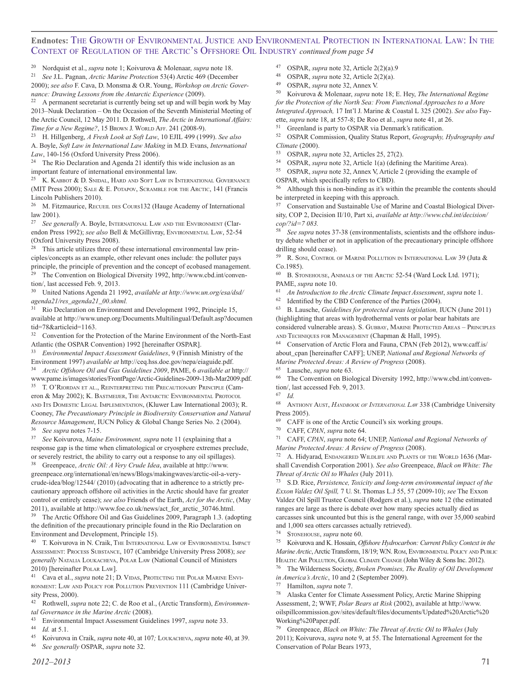#### **Endnotes:** The Growth of Environmental Justice and Environmental Protection in International Law: In the Context of Regulation of the Arctic's Offshore Oil Industry *continued from page 54*

<sup>20</sup> Nordquist et al., *supra* note 1; Koivurova & Molenaar, *supra* note 18.

<sup>21</sup> *See* J.L. Pagnan, *Arctic Marine Protection* 53(4) Arctic 469 (December 2000); *see also* F. Cava, D. Monsma & O.R. Young, *Workshop on Arctic Gover-*

*nance: Drawing Lessons from the Antarctic Experience* (2009). <sup>22</sup> A permanent secretariat is currently being set up and will begin work by May

2013–Nuuk Declaration – On the Occasion of the Seventh Ministerial Meeting of the Arctic Council, 12 May 2011. D. Rothwell, *The Arctic in International Affairs: Time for a New Regime?*, 15 Brown J. WORLD AFF. 241 (2008-9).

<sup>23</sup> H. Hillgenberg, *A Fresh Look at Soft Law*, 10 EJIL 499 (1999). *See also* A. Boyle, *Soft Law in International Law Making* in M.D. Evans, *International Law*, 140-156 (Oxford University Press 2006).

<sup>24</sup> The Rio Declaration and Agenda 21 identify this wide inclusion as an important feature of international environmental law.

<sup>25</sup> K. KABBOT  $&$  D. SNIDAL, HARD AND SOFT LAW IN INTERNATIONAL GOVERNANCE (MIT Press 2000); Sale & E. Potapov, Scramble for the Arctic, 141 (Francis Lincoln Publishers 2010).

<sup>26</sup> M. Fitzmaurice, RECUEL DES COURS132 (Hauge Academy of International law 2001).

See generally A. Boyle, INTERNATIONAL LAW AND THE ENVIRONMENT (Clarendon Press 1992); *see also* Bell & McGillivray, Environmental Law, 52-54 (Oxford University Press 2008).

<sup>28</sup> This article utilizes three of these international environmental law principles/concepts as an example, other relevant ones include: the polluter pays principle, the principle of prevention and the concept of ecobased management. <sup>29</sup> The Convention on Biological Diversity 1992, http://www.cbd.int/convention/, last accessed Feb. 9, 2013.

<sup>30</sup> United Nations Agenda 21 1992, *available at http://www.un.org/esa/dsd/ agenda21/res\_agenda21\_00.shtml.*

<sup>31</sup> Rio Declaration on Environment and Development 1992, Principle 15, available at http://www.unep.org/Documents.Multilingual/Default.asp?documen tid=78&articleid=1163.

<sup>32</sup> Convention for the Protection of the Marine Environment of the North-East Atlantic (the OSPAR Convention) 1992 [hereinafter OSPAR].

<sup>33</sup> *Environmental Impact Assessment Guidelines*, 9 (Finnish Ministry of the Environment 1997) *available at* http://ceq.hss.doe.gov/nepa/eiaguide.pdf. <sup>34</sup> *Arctic Offshore Oil and Gas Guidelines 2009*, PAME, 6 *available at* http://

www.pame.is/images/stories/FrontPage/Arctic-Guidelines-2009-13th-Mar2009.pdf. <sup>35</sup> T. O'RIORDAN ET AL., REINTERPRETING THE PRECAUTIONARY PRINCIPLE (Cameron & May 2002); K. BASTMEIJER, THE ANTARCTIC ENVIRONMENTAL PROTOCOL AND ITS DOMESTIC LEGAL IMPLEMENTATION, (Kluwer Law International 2003); R. Cooney, *The Precautionary Principle in Biodiversity Conservation and Natural Resource Management*, IUCN Policy & Global Change Series No. 2 (2004).

<sup>36</sup> *See supra* notes 7-15.

<sup>37</sup> *See* Koivurova, *Maine Environment, supra* note 11 (explaining that a response gap is the time when climatological or cryosphere extremes preclude, or severely restrict, the ability to carry out a response to any oil spillages).

<sup>38</sup> Greenpeace, *Arctic Oil: A Very Crude Idea*, available at http://www. greenpeace.org/international/en/news/Blogs/makingwaves/arctic-oil-a-verycrude-idea/blog/12544/ (2010) (advocating that in adherence to a strictly precautionary approach offshore oil activities in the Arctic should have far greater control or entirely cease); *see also* Friends of the Earth, *Act for the Arctic*, (May 2011), available at http://www.foe.co.uk/news/act\_for\_arctic\_30746.html.<br><sup>39</sup> The Arctic Offshore Oil and Gas Guidelines 2000, Personant 1.3. (add

The Arctic Offshore Oil and Gas Guidelines 2009, Paragraph 1.3. (adopting the definition of the precautionary principle found in the Rio Declaration on Environment and Development, Principle 15).

T. Koivurova in N. Craik, The International Law of Environmental Impact ssessment: Process Substance, 107 (Cambridge University Press 2008); *see generally* Natalia Loukacheva, Polar Law (National Council of Ministers 2010) [hereinafter Polar Law].

<sup>41</sup> Cava et al., *supra* note 21; D. VIDAS, PROTECTING THE POLAR MARINE ENVIronment: Law and Policy for Pollution Prevention 111 (Cambridge University Press, 2000).

<sup>42</sup> Rothwell, *supra* note 22; C. de Roo et al., (Arctic Transform), *Environmental Governance in the Marine Arctic* (2008).

<sup>43</sup> Environmental Impact Assessment Guidelines 1997, *supra* note 33.

 $\frac{44}{10}$  *Id.* at 5.1.

<sup>45</sup> Koivurova in Craik, *supra* note 40, at 107*;* Loukacheva, *supra* note 40, at 39. <sup>46</sup> *See generally* OSPAR, *supra* note 32.

- 47 OSPAR, *supra* note 32, Article 2(2)(a).9<br>48 OSPAR, *supra* note 32, Article 2(3)(a).
- 48 OSPAR, *supra* note 32, Article 2(2)(a).<br>49 OSPAR, *supra* note 32, Annex V
- OSPAR, *supra* note 32, Annex V.

<sup>50</sup> Koivurova & Molenaar, *supra* note 18; E. Hey, *The International Regime for the Protection of the North Sea: From Functional Approaches to a More Integrated Approach,* 17 Int'l J. Marine & Coastal L 325 (2002). *See also* Fayette, *supra* note 18, at 557-8; De Roo et al., *supra* note 41, at 26.

Greenland is party to OSPAR via Denmark's ratification.

<sup>52</sup> OSPAR Commission, Quality Status Report, *Geography, Hydrography and Climate* (2000).

<sup>53</sup> OSPAR, *supra* note 32, Articles 25, 27(2).

<sup>54</sup> OSPAR, *supra* note 32, Article 1(a) (defining the Maritime Area).

<sup>55</sup> OSPAR, *supra* note 32, Annex V, Article 2 (providing the example of OSPAR, which specifically refers to CBD).

<sup>56</sup> Although this is non-binding as it's within the preamble the contents should be interpreted in keeping with this approach.

<sup>57</sup> Conservation and Sustainable Use of Marine and Coastal Biological Diversity, COP 2, Decision II/10, Part xi, *available at http://www.cbd.int/decision/ cop/?id=7 083.*

See supra notes 37-38 (environmentalists, scientists and the offshore industry debate whether or not in application of the precautionary principle offshore drilling should cease).

59 R. SONI, CONTROL OF MARINE POLLUTION IN INTERNATIONAL LAW 39 (Juta  $\&$ Co.1985).

60 B. STONEHOUSE, ANIMALS OF THE ARCTIC 52-54 (Ward Lock Ltd. 1971); PAME, *supra* note 10.

<sup>61</sup> *An Introduction to the Arctic Climate Impact Assessment*, *supra* note 1.

<sup>62</sup> Identified by the CBD Conference of the Parties (2004).

<sup>63</sup> B. Lausche, *Guidelines for protected areas legislation,* IUCN (June 2011) (highlighting that areas with hydrothermal vents or polar bear habitats are considered vulnerable areas). S. Gubbay, Marine Protected Areas – Principles

and Techniques for Management (Chapman & Hall, 1995).

<sup>64</sup> Conservation of Arctic Flora and Fauna, CPAN (Feb 2012), www.caff.is/ about\_cpan [hereinafter CAFF]; UNEP, *National and Regional Networks of Marine Protected Areas: A Review of Progress* (2008).

<sup>65</sup> Lausche, *supra* note 63.

<sup>66</sup> The Convention on Biological Diversity 1992, http://www.cbd.int/convention/, last accessed Feb. 9, 2013.

<sup>67</sup> *Id.* <sup>68</sup> Anthony Aust, *Handbook of International Law* 338 (Cambridge University Press 2005).

<sup>69</sup> CAFF is one of the Arctic Council's six working groups.

<sup>70</sup> CAFF, *CPAN*, *supra* note 64.

<sup>71</sup> CAFF, *CPAN*, *supra* note 64; UNEP, *National and Regional Networks of Marine Protected Areas: A Review of Progress* (2008).

A. Hidyarad, ENDANGERED WILDLIFE AND PLANTS OF THE WORLD 1636 (Marshall Cavendish Corporation 2001). *See also* Greenpeace, *Black on White: The Threat of Arctic Oil to Whales* (July 2011).

<sup>73</sup> S.D. Rice, *Persistence, Toxicity and long-term environmental impact of the Exxon Valdez Oil Spill,* 7 U. St. Thomas L.J 55, 57 (2009-10); *see* The Exxon Valdez Oil Spill Trustee Council (Rodgers et al.), *supra* note 12 (the estimated ranges are large as there is debate over how many species actually died as carcasses sink uncounted but this is the general range, with over 35,000 seabird and 1,000 sea otters carcasses actually retrieved).

<sup>74</sup> STONEHOUSE, *supra* note 60.

<sup>75</sup> Koivurova and K. Hossain, *Offshore Hydrocarbon: Current Policy Context in the Marine Arctic*, Arctic Transform, 18/19; W.N. Rom, Environmental Policy and Public HEALTH: AIR POLLUTION, GLOBAL CLIMATE CHANGE (John Wiley & Sons Inc. 2012).

<sup>76</sup> The Wilderness Society, *Broken Promises, The Reality of Oil Development in America's Arctic*, 10 and 2 (September 2009).

<sup>77</sup> Hamilton, *supra* note 7.

<sup>78</sup> Alaska Center for Climate Assessment Policy, Arctic Marine Shipping Assessment, 2; WWF, *Polar Bears at Risk* (2002), available at http://www. oilspillcommission.gov/sites/default/files/documents/Updated%20Arctic%20 Working%20Paper.pdf.

<sup>79</sup> Greenpeace, *Black on White: The Threat of Arctic Oil to Whales* (July 2011); Koivurova, *supra* note 9, at 55. The International Agreement for the Conservation of Polar Bears 1973,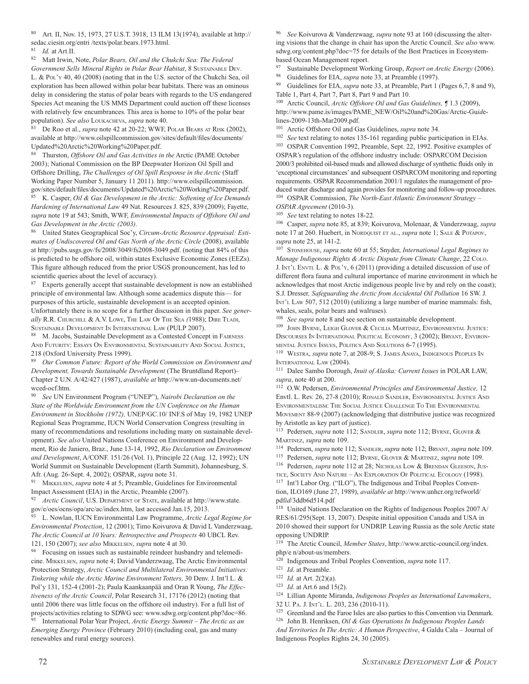<sup>80</sup> Art. II, Nov. 15, 1973, 27 U.S.T. 3918, 13 ILM 13(1974), available at http:// sedac.ciesin.org/entri /texts/polar.bears.1973.html.

<sup>82</sup> Matt Irwin, Note, *Polar Bears, Oil and the Chukchi Sea: The Federal*

*Government Sells Mineral Rights in Polar Bear Habitat*, 8 Sustainable Dev. L. & Pol'y 40, 40 (2008) (noting that in the U.S. sector of the Chukchi Sea, oil exploration has been allowed within polar bear habitats. There was an ominous delay in considering the status of polar bears with regards to the US endangered Species Act meaning the US MMS Department could auction off these licenses with relatively few encumbrances. This area is home to 10% of the polar bear population). *See also* Loukacheva, *supra* note 40.

<sup>83</sup> De Roo et al., *supra* note 42 at 20-22; WWF, Polar Bears at Risk (2002), available at http://www.oilspillcommission.gov/sites/default/files/documents/ Updated%20Arctic%20Working%20Paper.pdf.

<sup>84</sup> Thurston, *Offshore Oil and Gas Activities in the* Arctic (PAME October 2003); National Commission on the BP Deepwater Horizon Oil Spill and Offshore Drilling, *The Challenges of Oil Spill Response in the Arctic* (Staff Working Paper Number 5, January 11 2011). http://www.oilspillcommission. gov/sites/default/files/documents/Updated%20Arctic%20Working%20Paper.pdf.

<sup>85</sup> K. Casper, *Oil & Gas Development in the Arctic: Softening of Ice Demands Hardening of International Law* 49 Nat. Resources J. 825, 839 (2009); Fayette, *supra* note 19 at 543; Smith, WWF, *Environmental Impacts of Offshore Oil and Gas Development in the Arctic (2003).*

United States Geographical Soc'y, *Circum-Arctic Resource Appraisal: Estimates of Undiscovered Oil and Gas North of the Arctic Circle* (2008), available at http://pubs.usgs.gov/fs/2008/3049/fs2008-3049.pdf. (noting that 84% of this is predicted to be offshore oil, within states Exclusive Economic Zones (EEZs). This figure although reduced from the prior USGS pronouncement, has led to scientific queries about the level of accuracy).

Experts generally accept that sustainable development is now an established principle of environmental law. Although some academics dispute this— for purposes of this article, sustainable development is an accepted opinion. Unfortunately there is no scope for a further discussion in this paper. *See generally* R.R. Churchill & A.V. Lowe, The Law Of The Sea *(*1988); Dire Tladi, Sustainable Development In International Law (PULP 2007).

M. Jacobs, Sustainable Development as a Contested Concept in FAIRNESS AND FUTURITY: ESSAYS ON ENVIRONMENTAL SUSTAINABILITY AND SOCIAL JUSTICE, 218 (Oxford University Press 1999).<br><sup>89</sup> Our Canuary Eutume Banant of

<sup>89</sup> *Our Common Future: Report of the World Commission on Environment and Development, Towards Sustainable Development* (The Bruntdland Report)– Chapter 2 U.N. A/42/427 (1987), *available at* http://www.un-documents.net/ wced-ocf.htm.

<sup>90</sup> *See* UN Environment Program ("UNEP"), *Nairobi Declaration on the State of the Worldwide Environment from the UN Conference on the Human Environment in Stockholm (1972),* UNEP/GC.10/ INF.S of May 19, 1982 UNEP Regional Seas Programme, IUCN World Conservation Congress (resulting in many of recommendations and resolutions including many on sustainable development). *See also* United Nations Conference on Environment and Development, Rio de Janiero, Braz., June 13-14, 1992, *Rio Declaration on Environment and Development*, A/CONF. 151/26 (Vol. 1), Principle 22 (Aug. 12, 1992); UN World Summit on Sustainable Development (Earth Summit), Johannesburg, S. Afr. (Aug. 26-Sept. 4, 2002); OSPAR, *supra* note 31.

<sup>91</sup> Mikkelsen, *supra* note 4 at 5; Preamble, Guidelines for Environmental Impact Assessment (EIA) in the Arctic, Preamble (2007).

92 *Arctic Council*, U.S. DEPARTMENT OF STATE, available at http://www.state. gov/e/oes/ocns/opa/arc/ac/index.htm, last accessed Jan.15, 2013.

<sup>93</sup> L. Nowlan, IUCN Environmental Law Programme, *Arctic Legal Regime for Environmental Protection*, 12 (2001); Timo Koivurova & David L Vanderzwaag, *The Arctic Council at 10 Years: Retrospective and Prospects* 40 UBCL Rev. 121, 150 (2007); *see also* Mikkelsen, *supra* note 4 at 30.

<sup>94</sup> Focusing on issues such as sustainable reindeer husbandry and telemedicine. Mikkelsen, *supra* note 4; David Vanderzwaag, The Arctic Environmental Protection Strategy, *Arctic Council and Multilateral Environmental Initiatives: Tinkering while the Arctic Marine Environment Totters,* 30 Denv. J. Int'l L. & Pol'y 131, 152-4 (2001-2); Paula Kaankaanpää and Oran R Young, *The Effectiveness of the Arctic Council*, Polar Research 31, 17176 (2012) (noting that until 2006 there was little focus on the offshore oil industry). For a full list of projects/activities relating to SDWG see: www.sdwg.org/content.php?doc=86.

<sup>95</sup> International Polar Year Project, *Arctic Energy Summit – The Arctic as an Emerging Energy Province* (February 2010) (including coal, gas and many renewables and rural energy sources).

<sup>96</sup> *See* Koivurova & Vanderzwaag, *supra* note 93 at 160 (discussing the altering visions that the change in chair has upon the Arctic Council. *See also* www. sdwg.org/content.php?doc=75 for details of the Best Practices in Ecosystembased Ocean Management report.

<sup>97</sup> Sustainable Development Working Group, *Report on Arctic Energy* (2006).

<sup>98</sup> Guidelines for EIA, *supra* note 33, at Preamble (1997).

Guidelines for EIA, *supra* note 33, at Preamble, Part 1 (Pages 6,7, 8 and 9), Table 1, Part 4, Part 7, Part 8, Part 9 and Part 10.

<sup>100</sup> Arctic Council, *Arctic Offshore Oil and Gas Guidelines, ¶* 1.3 (2009), http://www.pame.is/images/PAME\_NEW/Oil%20and%20Gas/Arctic-Gu*id*elines-2009-13th-Mar2009.pdf.

<sup>101</sup> Arctic Offshore Oil and Gas Guidelines, *supra* note 34.

<sup>102</sup> *See* text relating to notes 135-161 regarding public participation in EIAs. <sup>103</sup> OSPAR Convention 1992, Preamble, Sept. 22, 1992. Positive examples of OSPAR's regulation of the offshore industry include: OSPARCOM Decision 2000/3 prohibited oil-based muds and allowed discharge of synthetic fluids only in 'exceptional circumstances' and subsequent OSPARCOM monitoring and reporting requirements. OSPAR Recommendation 2001/1 regulates the management of produced water discharge and again provides for monitoring and follow-up procedures. <sup>104</sup> OSPAR Commission, *The North-East Atlantic Environment Strategy – OSPAR Agreement* (2010-3).

<sup>105</sup> *See* text relating to notes 18-22.

<sup>106</sup> Casper, *supra* note 85, at 839; Koivurova, Molenaar, & Vanderzwaag, *supra* note 17 at 260. Huebert, in Nordquist et al., *supra* note 1; Sale & Potapov, *supra* note 25, at 141-2.

<sup>107</sup> Stonehouse, *supra* note 60 at 55; Snyder, *International Legal Regimes to Manage Indigenous Rights & Arctic Dispute from Climate Change*, 22 Colo. J. Int'l Envtl L. & Pol'y, 6 (2011) (providing a detailed discussion of use of different flora fauna and cultural importance of marine environment in which he acknowledges that most Arctic indigenous people live by and rely on the coast); S.J. Dresser*, Safeguarding the Arctic from Accidental Oil Pollution* 16 SW. J. Int'l Law 507, 512 (2010) (utilizing a large number of marine mammals: fish, whales, seals, polar bears and walruses).

<sup>108</sup> *See supra* note 8 and see section on sustainable development.

 $^{109}$  John Byrne, Leigh Glover & Cecilia Martinez, Environmental Justice: DISCOURSES IN INTERNATIONAL POLITICAL ECONOMY, 3 (2002); BRYANT, ENVIRONmental Justice Issues, Politics And Solutions 6-7 (1995).

<sup>110</sup> WESTRA, *supra* note 7, at 208-9; S. JAMES ANAYA, INDIGENOUS PEOPLES IN International Law (2004).

<sup>111</sup> Dalee Sambo Dorough, *Inuit of Alaska: Current Issues* in POLAR LAW, *supra*, note 40 at 200.

<sup>112</sup> O.W. Pedersen, *Environmental Principles and Environmental Justice,* 12 Envtl. L. Rev. 26, 27-8 (2010); Ronald Sandler, Environmental Justice And ENVIRONMENTALISM: THE SOCIAL JUSTICE CHALLENGE TO THE ENVIRONMENTAL Movement 88-9 (2007) (acknowledging that distributive justice was recognized by Aristotle as key part of justice).

<sup>113</sup> Pedersen, *supra* note 112; SANDLER, *supra* note 112; BYRNE, GLOVER & Martinez, *supra* note 109.

<sup>114</sup> Pedersen, *supra* note 112; SANDLER, *supra* note 112; BRYANT, *supra* note 109.

<sup>115</sup> Pedersen, *supra* note 112; Byrne, Glover & Martinez, *supra* note 109.

<sup>116</sup> Pedersen, *supra* note 112 at 28; NICHOLAS LOW & BRENDAN GLEESON, JUS-TICE, SOCIETY AND NATURE – AN EXPLORATION OF POLITICAL ECOLOGY (1998).

<sup>117</sup> Int'l Labor Org. ("ILO"), The Indigenous and Tribal Peoples Convention, ILO169 (June 27, 1989), *available at* http://www.unhcr.org/refworld/ pdf*id*/3ddb6d514.pdf

<sup>118</sup> United Nations Declaration on the Rights of Indigenous Peoples 2007 A/ RES/61/295(Sept. 13, 2007). Despite initial opposition Canada and USA in 2010 showed their support for UNDRIP. Leaving Russia as the sole Arctic state opposing UNDRIP.

<sup>119</sup> The Arctic Council, *Member States*, http://www.arctic-council.org/index. php/e n/about-us/members.

- <sup>120</sup> Indigenous and Tribal Peoples Convention, *supra* note 117.
- <sup>121</sup> *Id*. at Preamble.
- <sup>122</sup> *Id.* at Art. 2(2)(a).
- <sup>123</sup> *Id*. at Art.6 and 15(2).
- <sup>124</sup> Lillian Aponte Miranda, *Indigenous Peoples as International Lawmakers*,
- 32 U. Pa. J. Int'l. L. 203, 236 (2010-11).

Id. at Art.II.

<sup>125</sup> Greenland and the Faroe Isles are also parties to this Convention via Denmark.

<sup>126</sup> John B. Henriksen, *Oil & Gas Operations In Indigenous Peoples Lands And Territories In The Arctic: A Human Perspective*, 4 Galdu Cala – Journal of Indigenous Peoples Rights 24, 30 (2005).